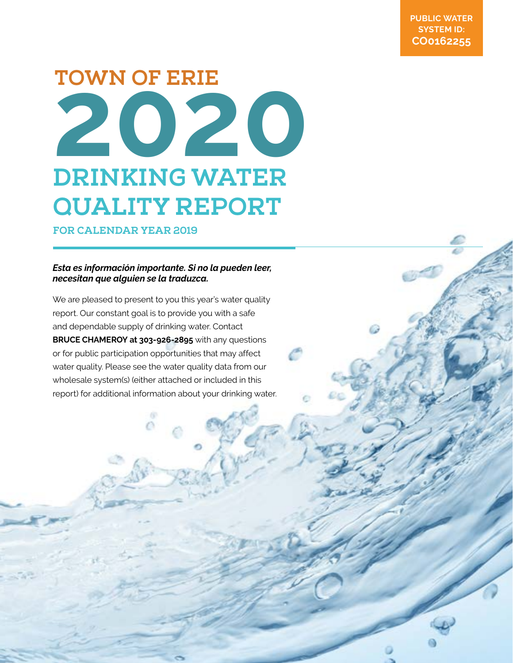# **202 0 DRINKING WATER QUALITY REPORT TOWN OF ERIE**

**FOR CALENDAR YEAR 2019**

## *Esta es información importante. Si no la pueden leer, necesitan que alguien se la traduzca.*

We are pleased to present to you this year's water quality report. Our constant goal is to provide you with a safe and dependable supply of drinking water. Contact **BRUCE CHAMEROY at 303-926-2895** with any questions or for public participation opportunities that may affect water quality. Please see the water quality data from our wholesale system(s) (either attached or included in this report) for additional information about your drinking water.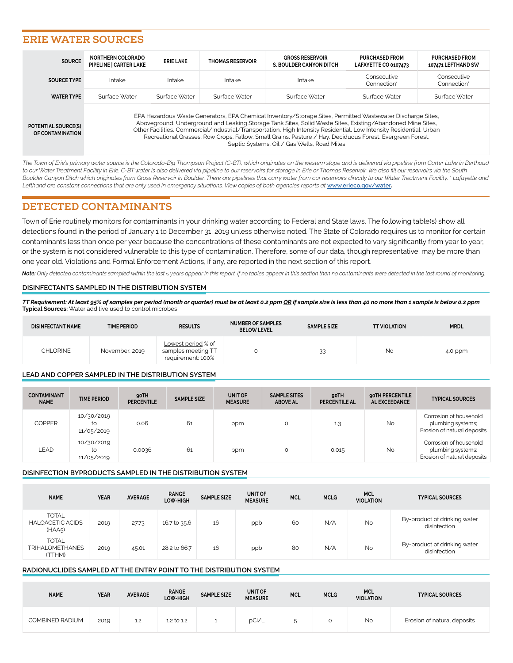# **ERIE WATER SOURCES**

| <b>SOURCE</b>                                         | <b>NORTHERN COLORADO</b><br>PIPELINE   CARTER LAKE | <b>ERIE LAKE</b> | <b>THOMAS RESERVOIR</b> | <b>GROSS RESERVOIR</b><br>S. BOULDER CANYON DITCH                                                                                                                                                                                                                                                                                                                                                                                                                                                             | <b>PURCHASED FROM</b><br>LAFAYETTE CO 0107473 | <b>PURCHASED FROM</b><br>107471 LEFTHAND SW |
|-------------------------------------------------------|----------------------------------------------------|------------------|-------------------------|---------------------------------------------------------------------------------------------------------------------------------------------------------------------------------------------------------------------------------------------------------------------------------------------------------------------------------------------------------------------------------------------------------------------------------------------------------------------------------------------------------------|-----------------------------------------------|---------------------------------------------|
| <b>SOURCE TYPE</b>                                    | Intake                                             | Intake           | Intake                  | Intake                                                                                                                                                                                                                                                                                                                                                                                                                                                                                                        | Consecutive<br>Connection <sup>*</sup>        | Consecutive<br>Connection'                  |
| <b>WATER TYPE</b>                                     | Surface Water                                      | Surface Water    | Surface Water           | Surface Water                                                                                                                                                                                                                                                                                                                                                                                                                                                                                                 | Surface Water                                 | Surface Water                               |
| <b>POTENTIAL SOURCE(S)</b><br><b>OF CONTAMINATION</b> |                                                    |                  |                         | EPA Hazardous Waste Generators, EPA Chemical Inventory/Storage Sites, Permitted Wastewater Discharge Sites,<br>Aboveground, Underground and Leaking Storage Tank Sites, Solid Waste Sites, Existing/Abandoned Mine Sites,<br>Other Facilities, Commercial/Industrial/Transportation, High Intensity Residential, Low Intensity Residential, Urban<br>Recreational Grasses, Row Crops, Fallow, Small Grains, Pasture / Hay, Deciduous Forest, Evergreen Forest,<br>Septic Systems, Oil / Gas Wells, Road Miles |                                               |                                             |

*The Town of Erie's primary water source is the Colorado-Big Thompson Project (C-BT), which originates on the western slope and is delivered via pipeline from Carter Lake in Berthoud to our Water Treatment Facility in Erie. C-BT water is also delivered via pipeline to our reservoirs for storage in Erie or Thomas Reservoir. We also fill our reservoirs via the South*  Boulder Canyon Ditch which originates from Gross Reservoir in Boulder. There are pipelines that carry water from our reservoirs directly to our Water Treatment Facility. *\* Lafayette and* Lefthand are constant connections that are only used in emergency situations. View copies of both agencies reports at [www.erieco.gov/water](http://www.erieco.gov/water).

# **DETECTED CONTAMINANTS**

Town of Erie routinely monitors for contaminants in your drinking water according to Federal and State laws. The following table(s) show all detections found in the period of January 1 to December 31, 2019 unless otherwise noted. The State of Colorado requires us to monitor for certain contaminants less than once per year because the concentrations of these contaminants are not expected to vary significantly from year to year, or the system is not considered vulnerable to this type of contamination. Therefore, some of our data, though representative, may be more than one year old. Violations and Formal Enforcement Actions, if any, are reported in the next section of this report.

*Note: Only detected contaminants sampled within the last 5 years appear in this report. If no tables appear in this section then no contaminants were detected in the last round of monitoring.*

#### **DISINFECTANTS SAMPLED IN THE DISTRIBUTION SYSTEM**

*TT Requirement: At least 95% of samples per period (month or quarter) must be at least 0.2 ppm OR if sample size is less than 40 no more than 1 sample is below 0.2 ppm* **Typical Sources:** Water additive used to control microbes

| <b>DISINFECTANT NAME</b> | <b>TIME PERIOD</b> | <b>RESULTS</b>                                                | <b>NUMBER OF SAMPLES</b><br><b>BELOW LEVEL</b> | <b>SAMPLE SIZE</b> | <b>TT VIOLATION</b> | <b>MRDL</b> |
|--------------------------|--------------------|---------------------------------------------------------------|------------------------------------------------|--------------------|---------------------|-------------|
| <b>CHLORINE</b>          | November, 2019     | Lowest period % of<br>samples meeting TT<br>requirement: 100% |                                                | 33                 | No                  | 4.0 ppm     |

#### **LEAD AND COPPER SAMPLED IN THE DISTRIBUTION SYSTEM**

| <b>CONTAMINANT</b><br><b>NAME</b> | <b>TIME PERIOD</b>             | 90TH<br><b>PERCENTILE</b> | <b>SAMPLE SIZE</b> | UNIT OF<br><b>MEASURE</b> | <b>SAMPLE SITES</b><br><b>ABOVE AL</b> | 90TH<br><b>PERCENTILE AL</b> | 90TH PERCENTILE<br>AL EXCEEDANCE | <b>TYPICAL SOURCES</b>                                                     |
|-----------------------------------|--------------------------------|---------------------------|--------------------|---------------------------|----------------------------------------|------------------------------|----------------------------------|----------------------------------------------------------------------------|
| <b>COPPER</b>                     | 10/30/2019<br>to<br>11/05/2019 | 0.06                      | 61                 | ppm                       | $\circ$                                | 1.3                          | <b>No</b>                        | Corrosion of household<br>plumbing systems;<br>Erosion of natural deposits |
| LEAD                              | 10/30/2019<br>to<br>11/05/2019 | 0.0036                    | 61                 | ppm                       | O                                      | 0.015                        | <b>No</b>                        | Corrosion of household<br>plumbing systems;<br>Erosion of natural deposits |

#### **DISINFECTION BYPRODUCTS SAMPLED IN THE DISTRIBUTION SYSTEM**

| <b>NAME</b>                                       | <b>YEAR</b> | <b>AVERAGE</b> | <b>RANGE</b><br>LOW-HIGH | <b>SAMPLE SIZE</b> | UNIT OF<br><b>MEASURE</b> | <b>MCL</b> | <b>MCLG</b> | <b>MCL</b><br><b>VIOLATION</b> | <b>TYPICAL SOURCES</b>                       |
|---------------------------------------------------|-------------|----------------|--------------------------|--------------------|---------------------------|------------|-------------|--------------------------------|----------------------------------------------|
| <b>TOTAL</b><br><b>HALOACETIC ACIDS</b><br>(HAA5) | 2019        | 27.73          | 16.7 to 35.6             | 16                 | ppb                       | 60         | N/A         | <b>No</b>                      | By-product of drinking water<br>disinfection |
| <b>TOTAL</b><br><b>TRIHALOMETHANES</b><br>(TTHM)  | 2019        | 45.01          | 28.2 to 66.7             | 16                 | ppb                       | 80         | N/A         | <b>No</b>                      | By-product of drinking water<br>disinfection |

#### **RADIONUCLIDES SAMPLED AT THE ENTRY POINT TO THE DISTRIBUTION SYSTEM**

| <b>NAME</b>     | <b>YEAR</b> | <b>AVERAGE</b> | <b>RANGE</b><br>LOW-HIGH | <b>SAMPLE SIZE</b> | UNIT OF<br><b>MEASURE</b> | <b>MCL</b> | <b>MCLG</b> | <b>MCL</b><br><b>VIOLATION</b> | <b>TYPICAL SOURCES</b>      |
|-----------------|-------------|----------------|--------------------------|--------------------|---------------------------|------------|-------------|--------------------------------|-----------------------------|
| COMBINED RADIUM | 2019        | 1.2            | 1.2 to 1.2               |                    | pCi/L                     |            |             | <b>No</b>                      | Erosion of natural deposits |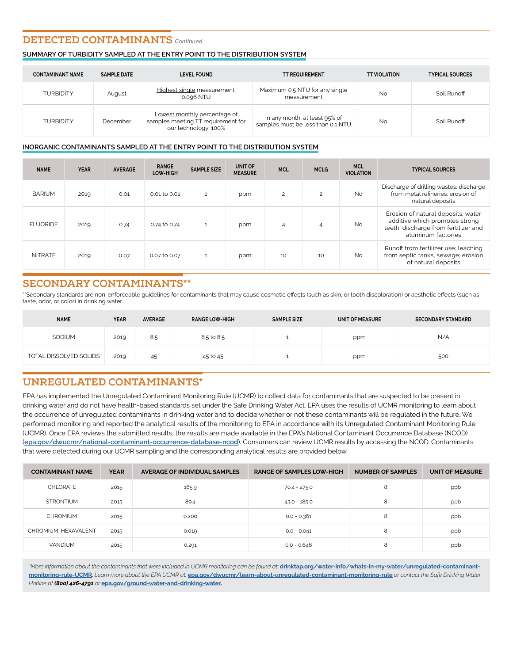## **DETECTED CONTAMINANTS** *Continued*

## **SUMMARY OF TURBIDITY SAMPLED AT THE ENTRY POINT TO THE DISTRIBUTION SYSTEM**

| <b>CONTAMINANT NAME</b> | <b>SAMPLE DATE</b> | <b>LEVEL FOUND</b>                                                                         | <b>TT REQUIREMENT</b>                                              | <b>TT VIOLATION</b> | <b>TYPICAL SOURCES</b> |
|-------------------------|--------------------|--------------------------------------------------------------------------------------------|--------------------------------------------------------------------|---------------------|------------------------|
| <b>TURBIDITY</b>        | August             | Highest single measurement:<br>0.096 NTU                                                   | Maximum 0.5 NTU for any single<br>measurement                      | <b>No</b>           | Soil Runoff            |
| TURBIDITY               | December           | Lowest monthly percentage of<br>samples meeting TT requirement for<br>our technology: 100% | In any month, at least 95% of<br>samples must be less than 0.1 NTU | <b>No</b>           | Soil Runoff            |

## **INORGANIC CONTAMINANTS SAMPLED AT THE ENTRY POINT TO THE DISTRIBUTION SYSTEM**

| <b>NAME</b>     | <b>YEAR</b> | <b>AVERAGE</b> | <b>RANGE</b><br>LOW-HIGH | <b>SAMPLE SIZE</b> | UNIT OF<br><b>MEASURE</b> | <b>MCL</b> | <b>MCLG</b> | <b>MCL</b><br><b>VIOLATION</b> | <b>TYPICAL SOURCES</b>                                                                                                             |
|-----------------|-------------|----------------|--------------------------|--------------------|---------------------------|------------|-------------|--------------------------------|------------------------------------------------------------------------------------------------------------------------------------|
| <b>BARIUM</b>   | 2019        | 0.01           | 0.01 to 0.01             | $\mathbf{1}$       | ppm                       | 2          | 2           | <b>No</b>                      | Discharge of drilling wastes; discharge<br>from metal refineries; erosion of<br>natural deposits                                   |
| <b>FLUORIDE</b> | 2019        | 0.74           | 0.74 to 0.74             | $\mathbf{1}$       | ppm                       | 4          | 4           | <b>No</b>                      | Erosion of natural deposits; water<br>additive which promotes strong<br>teeth; discharge from fertilizer and<br>aluminum factories |
| <b>NITRATE</b>  | 2019        | 0.07           | 0.07 to 0.07             | $\mathbf{1}$       | ppm                       | 10         | 10          | <b>No</b>                      | Runoff from fertilizer use; leaching<br>from septic tanks, sewage; erosion<br>of natural deposits                                  |

# **SECONDARY CONTAMINANTS\*\***

\*\*Secondary standards are non-enforceable guidelines for contaminants that may cause cosmetic effects (such as skin, or tooth discoloration) or aesthetic effects (such as taste, odor, or color) in drinking water.

| <b>NAME</b>            | <b>YEAR</b> | <b>AVERAGE</b> | <b>RANGE LOW-HIGH</b> | <b>SAMPLE SIZE</b> | UNIT OF MEASURE | <b>SECONDARY STANDARD</b> |
|------------------------|-------------|----------------|-----------------------|--------------------|-----------------|---------------------------|
| SODIUM                 | 2019        | 8.5            | 8.5 to 8.5            | ᅩ                  | ppm             | N/A                       |
| TOTAL DISSOLVED SOLIDS | 2019        | 45             | 45 to 45              |                    | ppm             | 500                       |

# **UNREGULATED CONTAMINANTS\***

EPA has implemented the Unregulated Contaminant Monitoring Rule (UCMR) to collect data for contaminants that are suspected to be present in drinking water and do not have health-based standards set under the Safe Drinking Water Act. EPA uses the results of UCMR monitoring to learn about the occurrence of unregulated contaminants in drinking water and to decide whether or not these contaminants will be regulated in the future. We performed monitoring and reported the analytical results of the monitoring to EPA in accordance with its Unregulated Contaminant Monitoring Rule (UCMR). Once EPA reviews the submitted results, the results are made available in the EPA's National Contaminant Occurrence Database (NCOD) (**[epa.gov/dwucmr/national-contaminant-occurrence-database-ncod](http://epa.gov/dwucmr/national-contaminant-occurrence-database-ncod)**). Consumers can review UCMR results by accessing the NCOD. Contaminants that were detected during our UCMR sampling and the corresponding analytical results are provided below.

| <b>CONTAMINANT NAME</b> | <b>YEAR</b> | AVERAGE OF INDIVIDUAL SAMPLES | <b>RANGE OF SAMPLES LOW-HIGH</b> | <b>NUMBER OF SAMPLES</b> | UNIT OF MEASURE |
|-------------------------|-------------|-------------------------------|----------------------------------|--------------------------|-----------------|
| CHLORATE                | 2015        | 165.9                         | 70.4 - 275.0                     | 8                        | ppb             |
| <b>STRONTIUM</b>        | 2015        | 89.4                          | $43.0 - 185.0$                   | 8                        | ppb             |
| CHROMIUM                | 2015        | 0.200                         | $0.0 - 0.361$                    | 8                        | ppb             |
| CHROMIUM. HEXAVALENT    | 2015        | 0.019                         | $0.0 - 0.041$                    | 8                        | ppb             |
| <b>VANDIUM</b>          | 2015        | 0.291                         | $0.0 - 0.646$                    | 8                        | ppb             |

\*More information about the contaminants that were included in UCMR monitoring can be found at: **[drinktap.org/water-info/whats-in-my-water/unregulated-contaminant](http://www.drinktap.org/water-info/whats-in-my-water/unregulated-contaminant-monitoring-rule.aspx)[monitoring-rule](http://www.drinktap.org/water-info/whats-in-my-water/unregulated-contaminant-monitoring-rule.aspx)-UCMR***. Learn more about the EPA UCMR at:* **[epa.gov/dwucmr/learn-about-unregulated-contaminant-monitoring-rule](http://www.epa.gov/dwucmr/learn-about-unregulated-contaminant-monitoring-rule)** *or contact the Safe Drinking Water Hotline at (800) 426-4791 or* **[epa.gov/](http://water.epa.gov/drink/contact.cfm)ground-water-and-drinking-water***.*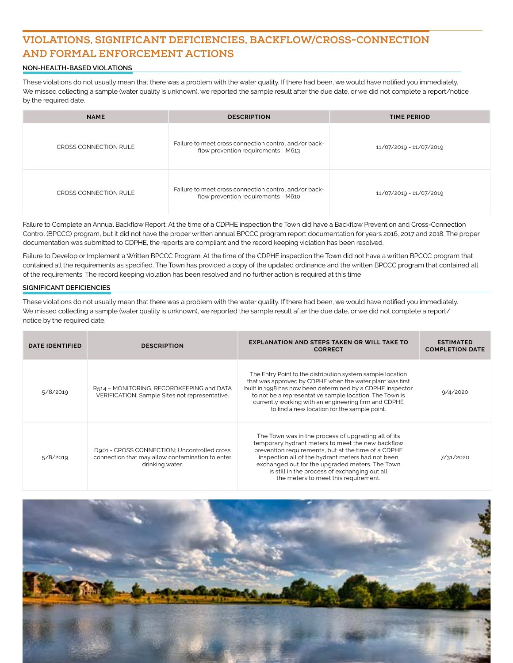# **VIOLATIONS, SIGNIFICANT DEFICIENCIES, BACKFLOW/CROSS-CONNECTION AND FORMAL ENFORCEMENT ACTIONS**

## **NON-HEALTH-BASED VIOLATIONS**

These violations do not usually mean that there was a problem with the water quality. If there had been, we would have notified you immediately. We missed collecting a sample (water quality is unknown), we reported the sample result after the due date, or we did not complete a report/notice by the required date.

| <b>NAME</b>           | <b>DESCRIPTION</b>                                                                           | <b>TIME PERIOD</b>      |
|-----------------------|----------------------------------------------------------------------------------------------|-------------------------|
| CROSS CONNECTION RULE | Failure to meet cross connection control and/or back-<br>flow prevention requirements - M613 | 11/07/2019 - 11/07/2019 |
| CROSS CONNECTION RULE | Failure to meet cross connection control and/or back-<br>flow prevention requirements - M610 | 11/07/2019 - 11/07/2019 |

Failure to Complete an Annual Backflow Report: At the time of a CDPHE inspection the Town did have a Backflow Prevention and Cross-Connection Control (BPCCC) program, but it did not have the proper written annual BPCCC program report documentation for years 2016, 2017 and 2018. The proper documentation was submitted to CDPHE, the reports are compliant and the record keeping violation has been resolved.

Failure to Develop or Implement a Written BPCCC Program: At the time of the CDPHE inspection the Town did not have a written BPCCC program that contained all the requirements as specified. The Town has provided a copy of the updated ordinance and the written BPCCC program that contained all of the requirements. The record keeping violation has been resolved and no further action is required at this time

#### **SIGNIFICANT DEFICIENCIES**

These violations do not usually mean that there was a problem with the water quality. If there had been, we would have notified you immediately. We missed collecting a sample (water quality is unknown), we reported the sample result after the due date, or we did not complete a report/ notice by the required date.

| <b>DATE IDENTIFIED</b> | <b>DESCRIPTION</b>                                                                                                 | <b>EXPLANATION AND STEPS TAKEN OR WILL TAKE TO</b><br><b>CORRECT</b>                                                                                                                                                                                                                                                                                             | <b>ESTIMATED</b><br><b>COMPLETION DATE</b> |
|------------------------|--------------------------------------------------------------------------------------------------------------------|------------------------------------------------------------------------------------------------------------------------------------------------------------------------------------------------------------------------------------------------------------------------------------------------------------------------------------------------------------------|--------------------------------------------|
| 5/8/2019               | R514 - MONITORING, RECORDKEEPING and DATA<br>VERIFICATION; Sample Sites not representative.                        | The Entry Point to the distribution system sample location<br>that was approved by CDPHE when the water plant was first<br>built in 1998 has now been determined by a CDPHE inspector<br>to not be a representative sample location. The Town is<br>currently working with an engineering firm and CDPHE<br>to find a new location for the sample point.         | 9/4/2020                                   |
| 5/8/2019               | D901 - CROSS CONNECTION; Uncontrolled cross<br>connection that may allow contamination to enter<br>drinking water. | The Town was in the process of upgrading all of its<br>temporary hydrant meters to meet the new backflow<br>prevention requirements, but at the time of a CDPHE<br>inspection all of the hydrant meters had not been<br>exchanged out for the upgraded meters. The Town<br>is still in the process of exchanging out all<br>the meters to meet this requirement. | 7/31/2020                                  |

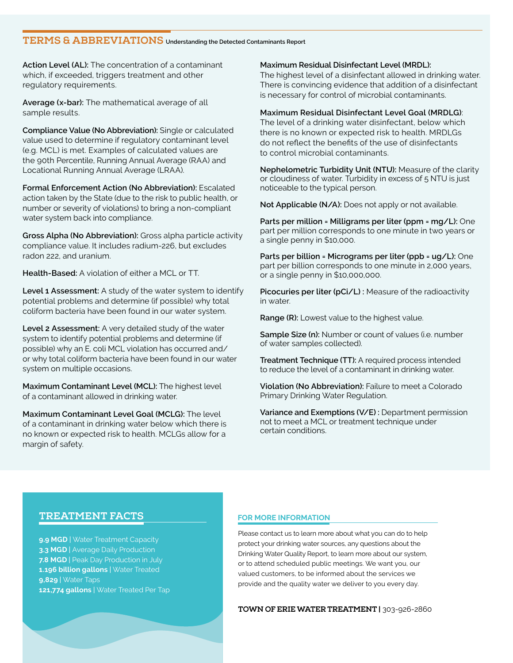# **TERMS & ABBREVIATIONS Understanding the Detected Contaminants Report**

**Action Level (AL):** The concentration of a contaminant which, if exceeded, triggers treatment and other regulatory requirements.

**Average (x-bar):** The mathematical average of all sample results.

**Compliance Value (No Abbreviation):** Single or calculated value used to determine if regulatory contaminant level (e.g. MCL) is met. Examples of calculated values are the 90th Percentile, Running Annual Average (RAA) and Locational Running Annual Average (LRAA).

**Formal Enforcement Action (No Abbreviation):** Escalated action taken by the State (due to the risk to public health, or number or severity of violations) to bring a non-compliant water system back into compliance.

**Gross Alpha (No Abbreviation):** Gross alpha particle activity compliance value. It includes radium-226, but excludes radon 222, and uranium.

**Health-Based:** A violation of either a MCL or TT.

**Level 1 Assessment:** A study of the water system to identify potential problems and determine (if possible) why total coliform bacteria have been found in our water system.

**Level 2 Assessment:** A very detailed study of the water system to identify potential problems and determine (if possible) why an E. coli MCL violation has occurred and/ or why total coliform bacteria have been found in our water system on multiple occasions.

**Maximum Contaminant Level (MCL):** The highest level of a contaminant allowed in drinking water.

**Maximum Contaminant Level Goal (MCLG):** The level of a contaminant in drinking water below which there is no known or expected risk to health. MCLGs allow for a margin of safety.

**Maximum Residual Disinfectant Level (MRDL):**

The highest level of a disinfectant allowed in drinking water. There is convincing evidence that addition of a disinfectant is necessary for control of microbial contaminants.

**Maximum Residual Disinfectant Level Goal (MRDLG)**: The level of a drinking water disinfectant, below which there is no known or expected risk to health. MRDLGs do not reflect the benefits of the use of disinfectants to control microbial contaminants.

**Nephelometric Turbidity Unit (NTU):** Measure of the clarity or cloudiness of water. Turbidity in excess of 5 NTU is just noticeable to the typical person.

**Not Applicable (N/A):** Does not apply or not available.

**Parts per million = Milligrams per liter (ppm = mg/L):** One part per million corresponds to one minute in two years or a single penny in \$10,000.

**Parts per billion = Micrograms per liter (ppb = ug/L):** One part per billion corresponds to one minute in 2,000 years, or a single penny in \$10,000,000.

**Picocuries per liter (pCi/L) :** Measure of the radioactivity in water.

**Range (R):** Lowest value to the highest value.

**Sample Size (n):** Number or count of values (i.e. number of water samples collected).

**Treatment Technique (TT):** A required process intended to reduce the level of a contaminant in drinking water.

**Violation (No Abbreviation):** Failure to meet a Colorado Primary Drinking Water Regulation.

**Variance and Exemptions (V/E) :** Department permission not to meet a MCL or treatment technique under certain conditions.

## **TREATMENT FACTS**

**9.9 MGD** | Water Treatment Capacity **3.3 MGD** | Average Daily Production **7.8 MGD** | Peak Day Production in July **1.196 billion gallons** | Water Treated **9,829** | Water Taps **121,774 gallons** | Water Treated Per Tap

## **FOR MORE INFORMATION**

Please contact us to learn more about what you can do to help protect your drinking water sources, any questions about the Drinking Water Quality Report, to learn more about our system, or to attend scheduled public meetings. We want you, our valued customers, to be informed about the services we provide and the quality water we deliver to you every day.

**TOWN OF ERIE WATER TREATMENT |** 303-926-2860